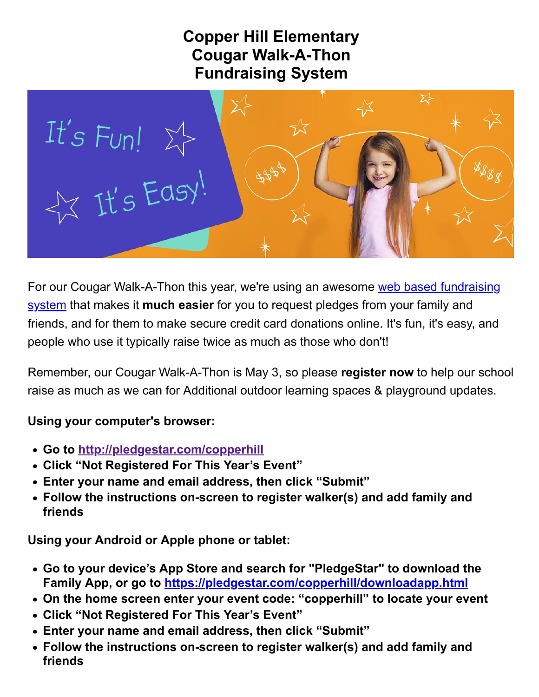## **Copper Hill Elementary Cougar Walk-A-Thon Fundraising System**



[For our Cougar Walk-A-Thon this year, we're using an awesome web based fundraising](http://pledgestar.com/) system that makes it **much easier** for you to request pledges from your family and friends, and for them to make secure credit card donations online. It's fun, it's easy, and people who use it typically raise twice as much as those who don't!

Remember, our Cougar Walk-A-Thon is May 3, so please **register now** to help our school raise as much as we can for Additional outdoor learning spaces & playground updates.

## **Using your computer's browser:**

- **Go to [http://pledgestar.com/copperhill](https://pledgestar.com/copperhill)**
- **Click "Not Registered For This Year's Event"**
- **Enter your name and email address, then click "Submit"**
- **Follow the instructions on-screen to register walker(s) and add family and friends**

**Using your Android or Apple phone or tablet:**

- **Go to your device's App Store and search for "PledgeStar" to download the Family App, or go to <https://pledgestar.com/copperhill/downloadapp.html>**
- **On the home screen enter your event code: "copperhill" to locate your event**
- **Click "Not Registered For This Year's Event"**
- **Enter your name and email address, then click "Submit"**
- **Follow the instructions on-screen to register walker(s) and add family and friends**